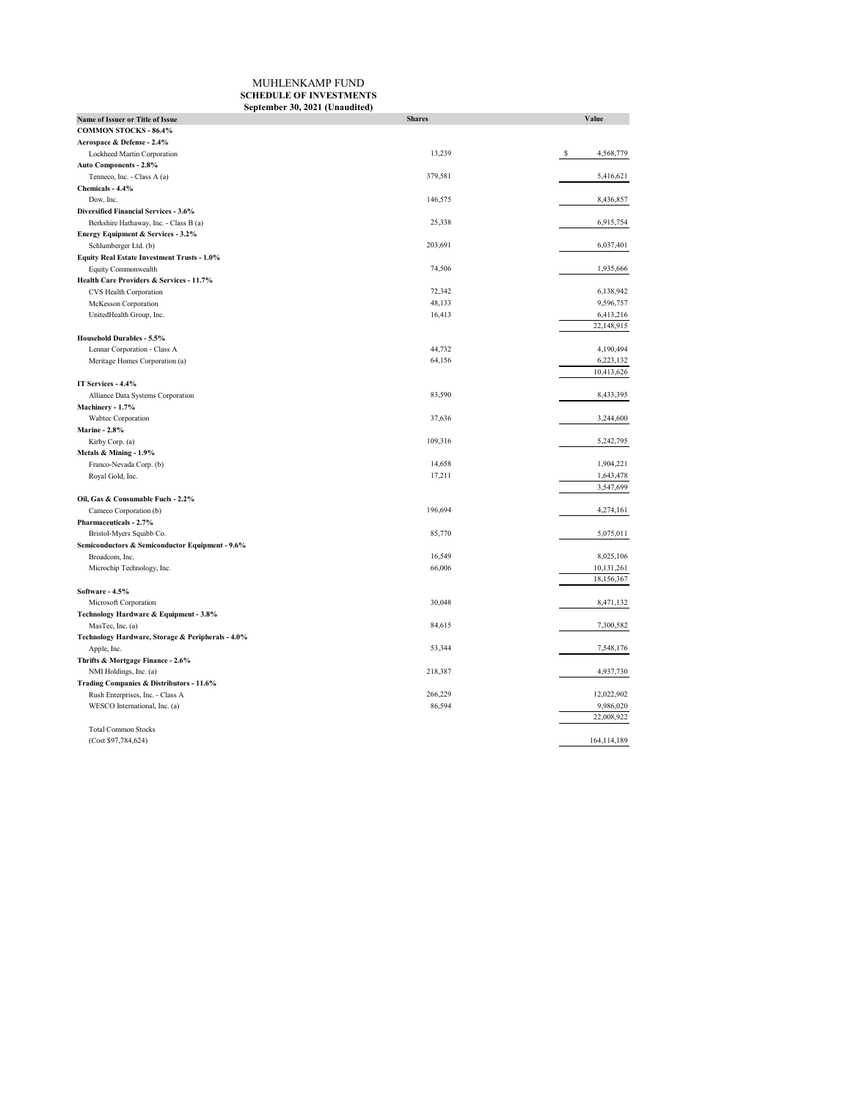## MUHLENKAMP FUND **SCHEDULE OF INVESTMENTS September 30, 2021 (Unaudited)**

| Name of Issuer or Title of Issue                  | <b>Shares</b> | Value          |
|---------------------------------------------------|---------------|----------------|
| <b>COMMON STOCKS - 86.4%</b>                      |               |                |
| Aerospace & Defense - 2.4%                        |               |                |
| Lockheed Martin Corporation                       | 13,239        | s<br>4,568,779 |
| Auto Components - 2.8%                            |               |                |
| Tenneco, Inc. - Class A (a)                       | 379,581       | 5,416,621      |
| Chemicals - 4.4%                                  |               |                |
| Dow, Inc.                                         | 146,575       | 8,436,857      |
| Diversified Financial Services - 3.6%             |               |                |
| Berkshire Hathaway, Inc. - Class B (a)            | 25,338        | 6,915,754      |
| Energy Equipment & Services - 3.2%                |               |                |
| Schlumberger Ltd. (b)                             | 203,691       | 6,037,401      |
| Equity Real Estate Investment Trusts - 1.0%       |               |                |
| Equity Commonwealth                               | 74,506        | 1,935,666      |
| Health Care Providers & Services - 11.7%          |               |                |
| CVS Health Corporation                            | 72,342        | 6,138,942      |
| McKesson Corporation                              | 48,133        | 9,596,757      |
| UnitedHealth Group, Inc.                          | 16,413        | 6,413,216      |
|                                                   |               | 22,148,915     |
| Household Durables - 5.5%                         |               |                |
| Lennar Corporation - Class A                      | 44,732        | 4,190,494      |
|                                                   | 64,156        | 6,223,132      |
| Meritage Homes Corporation (a)                    |               | 10,413,626     |
| IT Services - 4.4%                                |               |                |
|                                                   | 83,590        |                |
| Alliance Data Systems Corporation                 |               | 8,433,395      |
| Machinery - 1.7%                                  | 37,636        |                |
| Wabtec Corporation                                |               | 3,244,600      |
| <b>Marine - 2.8%</b>                              |               |                |
| Kirby Corp. (a)                                   | 109,316       | 5,242,795      |
| Metals & Mining - 1.9%                            |               |                |
| Franco-Nevada Corp. (b)                           | 14,658        | 1,904,221      |
| Royal Gold, Inc.                                  | 17,211        | 1,643,478      |
|                                                   |               | 3,547,699      |
| Oil, Gas & Consumable Fuels - 2.2%                |               |                |
| Cameco Corporation (b)                            | 196,694       | 4,274,161      |
| Pharmaceuticals - 2.7%                            |               |                |
| Bristol-Myers Squibb Co.                          | 85,770        | 5,075,011      |
| Semiconductors & Semiconductor Equipment - 9.6%   |               |                |
| Broadcom, Inc.                                    | 16,549        | 8,025,106      |
| Microchip Technology, Inc.                        | 66,006        | 10,131,261     |
|                                                   |               | 18,156,367     |
| Software - 4.5%                                   |               |                |
| Microsoft Corporation                             | 30,048        | 8,471,132      |
| Technology Hardware & Equipment - 3.8%            |               |                |
| MasTec, Inc. (a)                                  | 84,615        | 7,300,582      |
| Technology Hardware, Storage & Peripherals - 4.0% |               |                |
| Apple, Inc.                                       | 53,344        | 7,548,176      |
| Thrifts & Mortgage Finance - 2.6%                 |               |                |
| NMI Holdings, Inc. (a)                            | 218,387       | 4,937,730      |
| Trading Companies & Distributors - 11.6%          |               |                |
| Rush Enterprises, Inc. - Class A                  | 266,229       | 12,022,902     |
| WESCO International, Inc. (a)                     | 86,594        | 9,986,020      |
|                                                   |               | 22,008,922     |
| <b>Total Common Stocks</b>                        |               |                |
| (Cost \$97,784,624)                               |               | 164, 114, 189  |